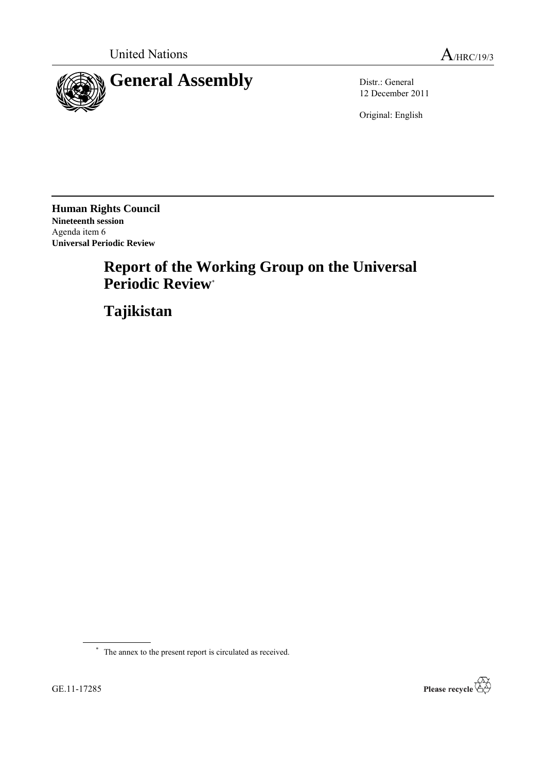



12 December 2011

Original: English

**Human Rights Council Nineteenth session** Agenda item 6 **Universal Periodic Review**

# **Report of the Working Group on the Universal Periodic Review**\*

**Tajikistan**

\* The annex to the present report is circulated as received.

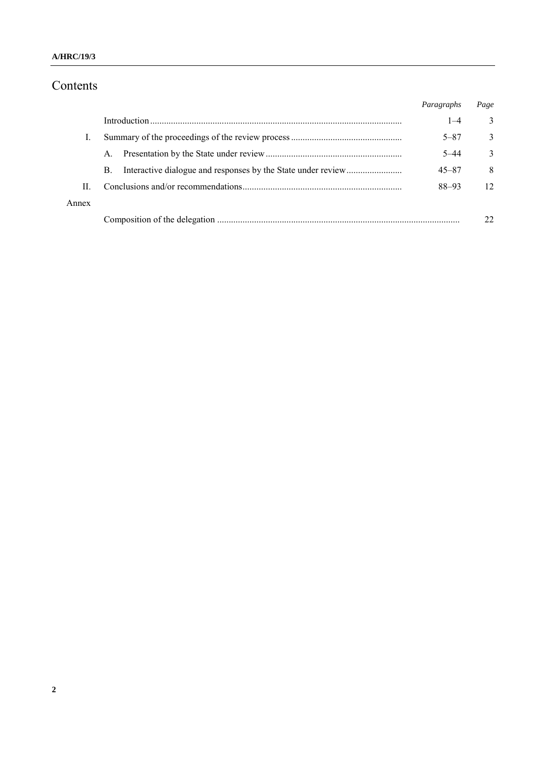# Contents

|       |           | Paragraphs | Page         |
|-------|-----------|------------|--------------|
|       |           | $1 - 4$    | 3            |
|       |           | $5 - 87$   | 3            |
|       | A.        | $5 - 44$   | $\mathbf{3}$ |
|       | <b>B.</b> | $45 - 87$  | 8            |
| П     |           | $88 - 93$  | 12           |
| Annex |           |            |              |
|       |           |            | フフ           |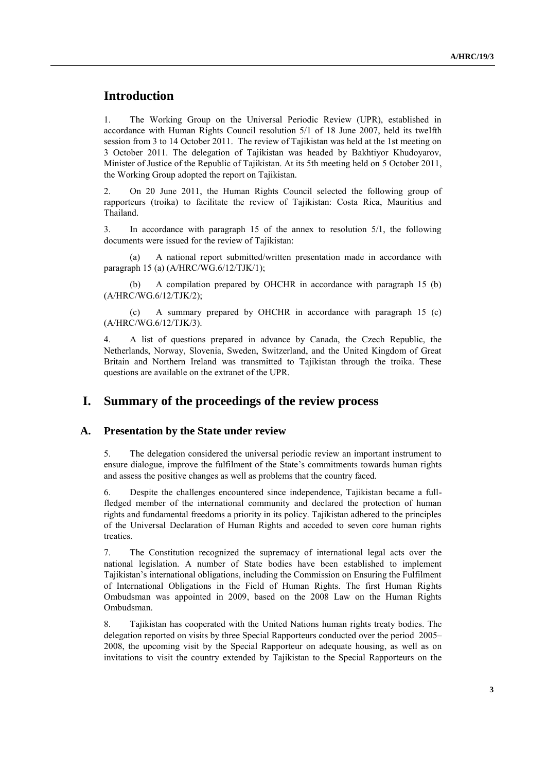# **Introduction**

1. The Working Group on the Universal Periodic Review (UPR), established in accordance with Human Rights Council resolution 5/1 of 18 June 2007, held its twelfth session from 3 to 14 October 2011. The review of Tajikistan was held at the 1st meeting on 3 October 2011. The delegation of Tajikistan was headed by Bakhtiyor Khudoyarov, Minister of Justice of the Republic of Tajikistan. At its 5th meeting held on 5 October 2011, the Working Group adopted the report on Tajikistan.

2. On 20 June 2011, the Human Rights Council selected the following group of rapporteurs (troika) to facilitate the review of Tajikistan: Costa Rica, Mauritius and Thailand.

3. In accordance with paragraph 15 of the annex to resolution 5/1, the following documents were issued for the review of Tajikistan:

(a) A national report submitted/written presentation made in accordance with paragraph 15 (a) (A/HRC/WG.6/12/TJK/1);

(b) A compilation prepared by OHCHR in accordance with paragraph 15 (b) (A/HRC/WG.6/12/TJK/2);

(c) A summary prepared by OHCHR in accordance with paragraph 15 (c) (A/HRC/WG.6/12/TJK/3).

4. A list of questions prepared in advance by Canada, the Czech Republic, the Netherlands, Norway, Slovenia, Sweden, Switzerland, and the United Kingdom of Great Britain and Northern Ireland was transmitted to Tajikistan through the troika. These questions are available on the extranet of the UPR.

## **I. Summary of the proceedings of the review process**

#### **A. Presentation by the State under review**

5. The delegation considered the universal periodic review an important instrument to ensure dialogue, improve the fulfilment of the State's commitments towards human rights and assess the positive changes as well as problems that the country faced.

6. Despite the challenges encountered since independence, Tajikistan became a fullfledged member of the international community and declared the protection of human rights and fundamental freedoms a priority in its policy. Tajikistan adhered to the principles of the Universal Declaration of Human Rights and acceded to seven core human rights treaties.

7. The Constitution recognized the supremacy of international legal acts over the national legislation. A number of State bodies have been established to implement Tajikistan's international obligations, including the Commission on Ensuring the Fulfilment of International Obligations in the Field of Human Rights. The first Human Rights Ombudsman was appointed in 2009, based on the 2008 Law on the Human Rights Ombudsman.

8. Tajikistan has cooperated with the United Nations human rights treaty bodies. The delegation reported on visits by three Special Rapporteurs conducted over the period 2005– 2008, the upcoming visit by the Special Rapporteur on adequate housing, as well as on invitations to visit the country extended by Tajikistan to the Special Rapporteurs on the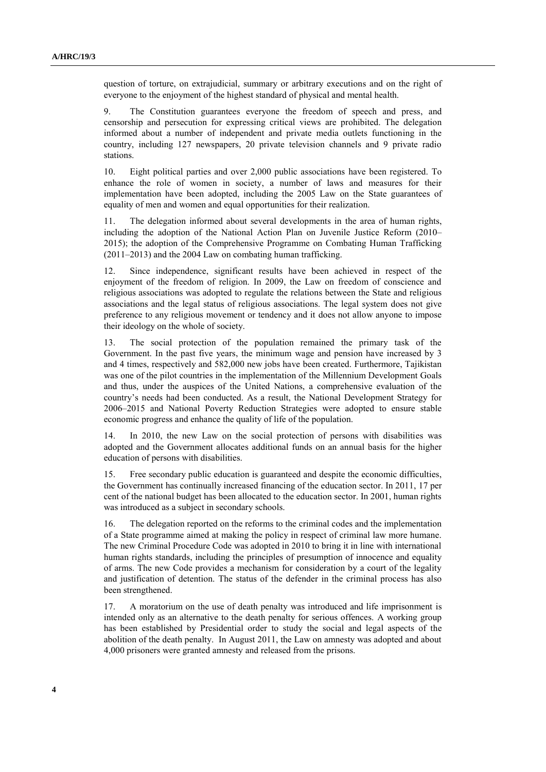question of torture, on extrajudicial, summary or arbitrary executions and on the right of everyone to the enjoyment of the highest standard of physical and mental health.

9. The Constitution guarantees everyone the freedom of speech and press, and censorship and persecution for expressing critical views are prohibited. The delegation informed about a number of independent and private media outlets functioning in the country, including 127 newspapers, 20 private television channels and 9 private radio stations.

10. Eight political parties and over 2,000 public associations have been registered. To enhance the role of women in society, a number of laws and measures for their implementation have been adopted, including the 2005 Law on the State guarantees of equality of men and women and equal opportunities for their realization.

11. The delegation informed about several developments in the area of human rights, including the adoption of the National Action Plan on Juvenile Justice Reform (2010– 2015); the adoption of the Comprehensive Programme on Combating Human Trafficking (2011–2013) and the 2004 Law on combating human trafficking.

12. Since independence, significant results have been achieved in respect of the enjoyment of the freedom of religion. In 2009, the Law on freedom of conscience and religious associations was adopted to regulate the relations between the State and religious associations and the legal status of religious associations. The legal system does not give preference to any religious movement or tendency and it does not allow anyone to impose their ideology on the whole of society.

13. The social protection of the population remained the primary task of the Government. In the past five years, the minimum wage and pension have increased by 3 and 4 times, respectively and 582,000 new jobs have been created. Furthermore, Tajikistan was one of the pilot countries in the implementation of the Millennium Development Goals and thus, under the auspices of the United Nations, a comprehensive evaluation of the country's needs had been conducted. As a result, the National Development Strategy for 2006–2015 and National Poverty Reduction Strategies were adopted to ensure stable economic progress and enhance the quality of life of the population.

14. In 2010, the new Law on the social protection of persons with disabilities was adopted and the Government allocates additional funds on an annual basis for the higher education of persons with disabilities.

15. Free secondary public education is guaranteed and despite the economic difficulties, the Government has continually increased financing of the education sector. In 2011, 17 per cent of the national budget has been allocated to the education sector. In 2001, human rights was introduced as a subject in secondary schools.

16. The delegation reported on the reforms to the criminal codes and the implementation of a State programme aimed at making the policy in respect of criminal law more humane. The new Criminal Procedure Code was adopted in 2010 to bring it in line with international human rights standards, including the principles of presumption of innocence and equality of arms. The new Code provides a mechanism for consideration by a court of the legality and justification of detention. The status of the defender in the criminal process has also been strengthened.

17. A moratorium on the use of death penalty was introduced and life imprisonment is intended only as an alternative to the death penalty for serious offences. A working group has been established by Presidential order to study the social and legal aspects of the abolition of the death penalty. In August 2011, the Law on amnesty was adopted and about 4,000 prisoners were granted amnesty and released from the prisons.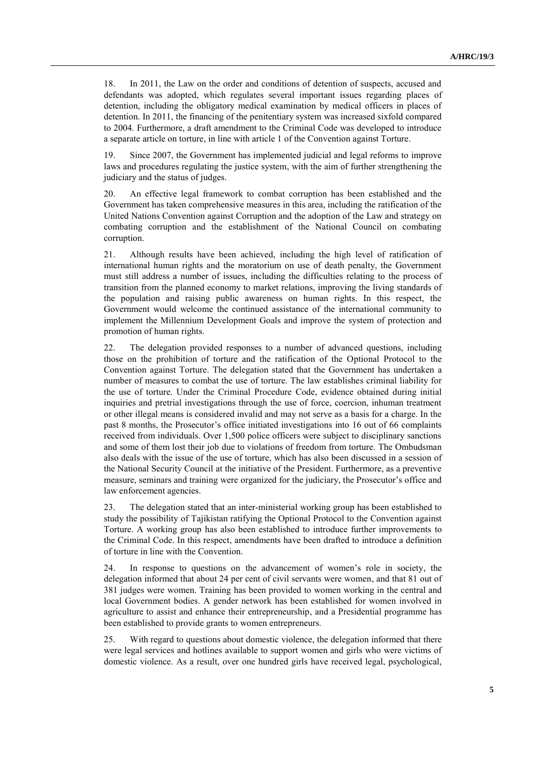18. In 2011, the Law on the order and conditions of detention of suspects, accused and defendants was adopted, which regulates several important issues regarding places of detention, including the obligatory medical examination by medical officers in places of detention. In 2011, the financing of the penitentiary system was increased sixfold compared to 2004. Furthermore, a draft amendment to the Criminal Code was developed to introduce a separate article on torture, in line with article 1 of the Convention against Torture.

19. Since 2007, the Government has implemented judicial and legal reforms to improve laws and procedures regulating the justice system, with the aim of further strengthening the judiciary and the status of judges.

20. An effective legal framework to combat corruption has been established and the Government has taken comprehensive measures in this area, including the ratification of the United Nations Convention against Corruption and the adoption of the Law and strategy on combating corruption and the establishment of the National Council on combating corruption.

21. Although results have been achieved, including the high level of ratification of international human rights and the moratorium on use of death penalty, the Government must still address a number of issues, including the difficulties relating to the process of transition from the planned economy to market relations, improving the living standards of the population and raising public awareness on human rights. In this respect, the Government would welcome the continued assistance of the international community to implement the Millennium Development Goals and improve the system of protection and promotion of human rights.

22. The delegation provided responses to a number of advanced questions, including those on the prohibition of torture and the ratification of the Optional Protocol to the Convention against Torture. The delegation stated that the Government has undertaken a number of measures to combat the use of torture. The law establishes criminal liability for the use of torture. Under the Criminal Procedure Code, evidence obtained during initial inquiries and pretrial investigations through the use of force, coercion, inhuman treatment or other illegal means is considered invalid and may not serve as a basis for a charge. In the past 8 months, the Prosecutor's office initiated investigations into 16 out of 66 complaints received from individuals. Over 1,500 police officers were subject to disciplinary sanctions and some of them lost their job due to violations of freedom from torture. The Ombudsman also deals with the issue of the use of torture, which has also been discussed in a session of the National Security Council at the initiative of the President. Furthermore, as a preventive measure, seminars and training were organized for the judiciary, the Prosecutor's office and law enforcement agencies.

23. The delegation stated that an inter-ministerial working group has been established to study the possibility of Tajikistan ratifying the Optional Protocol to the Convention against Torture. A working group has also been established to introduce further improvements to the Criminal Code. In this respect, amendments have been drafted to introduce a definition of torture in line with the Convention.

24. In response to questions on the advancement of women's role in society, the delegation informed that about 24 per cent of civil servants were women, and that 81 out of 381 judges were women. Training has been provided to women working in the central and local Government bodies. A gender network has been established for women involved in agriculture to assist and enhance their entrepreneurship, and a Presidential programme has been established to provide grants to women entrepreneurs.

25. With regard to questions about domestic violence, the delegation informed that there were legal services and hotlines available to support women and girls who were victims of domestic violence. As a result, over one hundred girls have received legal, psychological,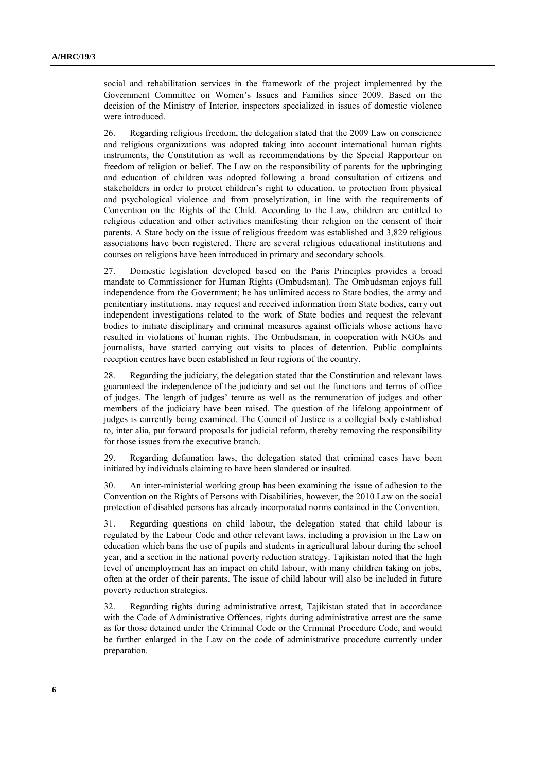social and rehabilitation services in the framework of the project implemented by the Government Committee on Women's Issues and Families since 2009. Based on the decision of the Ministry of Interior, inspectors specialized in issues of domestic violence were introduced.

26. Regarding religious freedom, the delegation stated that the 2009 Law on conscience and religious organizations was adopted taking into account international human rights instruments, the Constitution as well as recommendations by the Special Rapporteur on freedom of religion or belief. The Law on the responsibility of parents for the upbringing and education of children was adopted following a broad consultation of citizens and stakeholders in order to protect children's right to education, to protection from physical and psychological violence and from proselytization, in line with the requirements of Convention on the Rights of the Child. According to the Law, children are entitled to religious education and other activities manifesting their religion on the consent of their parents. A State body on the issue of religious freedom was established and 3,829 religious associations have been registered. There are several religious educational institutions and courses on religions have been introduced in primary and secondary schools.

27. Domestic legislation developed based on the Paris Principles provides a broad mandate to Commissioner for Human Rights (Ombudsman). The Ombudsman enjoys full independence from the Government; he has unlimited access to State bodies, the army and penitentiary institutions, may request and received information from State bodies, carry out independent investigations related to the work of State bodies and request the relevant bodies to initiate disciplinary and criminal measures against officials whose actions have resulted in violations of human rights. The Ombudsman, in cooperation with NGOs and journalists, have started carrying out visits to places of detention. Public complaints reception centres have been established in four regions of the country.

28. Regarding the judiciary, the delegation stated that the Constitution and relevant laws guaranteed the independence of the judiciary and set out the functions and terms of office of judges. The length of judges' tenure as well as the remuneration of judges and other members of the judiciary have been raised. The question of the lifelong appointment of judges is currently being examined. The Council of Justice is a collegial body established to, inter alia, put forward proposals for judicial reform, thereby removing the responsibility for those issues from the executive branch.

29. Regarding defamation laws, the delegation stated that criminal cases have been initiated by individuals claiming to have been slandered or insulted.

30. An inter-ministerial working group has been examining the issue of adhesion to the Convention on the Rights of Persons with Disabilities, however, the 2010 Law on the social protection of disabled persons has already incorporated norms contained in the Convention.

31. Regarding questions on child labour, the delegation stated that child labour is regulated by the Labour Code and other relevant laws, including a provision in the Law on education which bans the use of pupils and students in agricultural labour during the school year, and a section in the national poverty reduction strategy. Tajikistan noted that the high level of unemployment has an impact on child labour, with many children taking on jobs, often at the order of their parents. The issue of child labour will also be included in future poverty reduction strategies.

32. Regarding rights during administrative arrest, Tajikistan stated that in accordance with the Code of Administrative Offences, rights during administrative arrest are the same as for those detained under the Criminal Code or the Criminal Procedure Code, and would be further enlarged in the Law on the code of administrative procedure currently under preparation.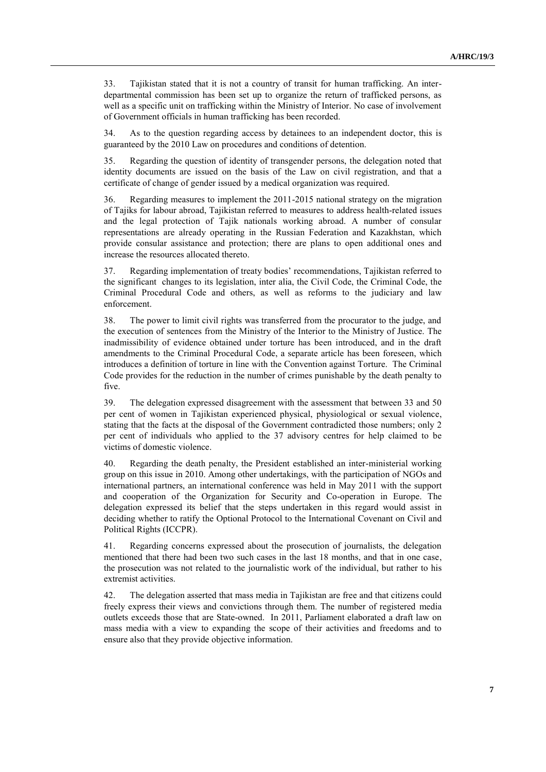33. Tajikistan stated that it is not a country of transit for human trafficking. An interdepartmental commission has been set up to organize the return of trafficked persons, as well as a specific unit on trafficking within the Ministry of Interior. No case of involvement of Government officials in human trafficking has been recorded.

34. As to the question regarding access by detainees to an independent doctor, this is guaranteed by the 2010 Law on procedures and conditions of detention.

35. Regarding the question of identity of transgender persons, the delegation noted that identity documents are issued on the basis of the Law on civil registration, and that a certificate of change of gender issued by a medical organization was required.

36. Regarding measures to implement the 2011-2015 national strategy on the migration of Tajiks for labour abroad, Tajikistan referred to measures to address health-related issues and the legal protection of Tajik nationals working abroad. A number of consular representations are already operating in the Russian Federation and Kazakhstan, which provide consular assistance and protection; there are plans to open additional ones and increase the resources allocated thereto.

37. Regarding implementation of treaty bodies' recommendations, Tajikistan referred to the significant changes to its legislation, inter alia, the Civil Code, the Criminal Code, the Criminal Procedural Code and others, as well as reforms to the judiciary and law enforcement.

38. The power to limit civil rights was transferred from the procurator to the judge, and the execution of sentences from the Ministry of the Interior to the Ministry of Justice. The inadmissibility of evidence obtained under torture has been introduced, and in the draft amendments to the Criminal Procedural Code, a separate article has been foreseen, which introduces a definition of torture in line with the Convention against Torture. The Criminal Code provides for the reduction in the number of crimes punishable by the death penalty to five.

39. The delegation expressed disagreement with the assessment that between 33 and 50 per cent of women in Tajikistan experienced physical, physiological or sexual violence, stating that the facts at the disposal of the Government contradicted those numbers; only 2 per cent of individuals who applied to the 37 advisory centres for help claimed to be victims of domestic violence.

40. Regarding the death penalty, the President established an inter-ministerial working group on this issue in 2010. Among other undertakings, with the participation of NGOs and international partners, an international conference was held in May 2011 with the support and cooperation of the Organization for Security and Co-operation in Europe. The delegation expressed its belief that the steps undertaken in this regard would assist in deciding whether to ratify the Optional Protocol to the International Covenant on Civil and Political Rights (ICCPR).

41. Regarding concerns expressed about the prosecution of journalists, the delegation mentioned that there had been two such cases in the last 18 months, and that in one case, the prosecution was not related to the journalistic work of the individual, but rather to his extremist activities.

42. The delegation asserted that mass media in Tajikistan are free and that citizens could freely express their views and convictions through them. The number of registered media outlets exceeds those that are State-owned. In 2011, Parliament elaborated a draft law on mass media with a view to expanding the scope of their activities and freedoms and to ensure also that they provide objective information.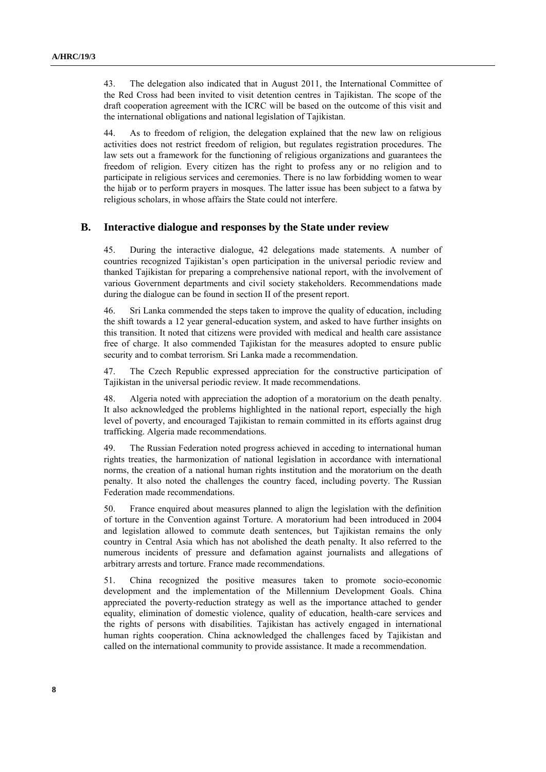43. The delegation also indicated that in August 2011, the International Committee of the Red Cross had been invited to visit detention centres in Tajikistan. The scope of the draft cooperation agreement with the ICRC will be based on the outcome of this visit and the international obligations and national legislation of Tajikistan.

44. As to freedom of religion, the delegation explained that the new law on religious activities does not restrict freedom of religion, but regulates registration procedures. The law sets out a framework for the functioning of religious organizations and guarantees the freedom of religion. Every citizen has the right to profess any or no religion and to participate in religious services and ceremonies. There is no law forbidding women to wear the hijab or to perform prayers in mosques. The latter issue has been subject to a fatwa by religious scholars, in whose affairs the State could not interfere.

### **B. Interactive dialogue and responses by the State under review**

45. During the interactive dialogue, 42 delegations made statements. A number of countries recognized Tajikistan's open participation in the universal periodic review and thanked Tajikistan for preparing a comprehensive national report, with the involvement of various Government departments and civil society stakeholders. Recommendations made during the dialogue can be found in section II of the present report.

46. Sri Lanka commended the steps taken to improve the quality of education, including the shift towards a 12 year general-education system, and asked to have further insights on this transition. It noted that citizens were provided with medical and health care assistance free of charge. It also commended Tajikistan for the measures adopted to ensure public security and to combat terrorism. Sri Lanka made a recommendation.

47. The Czech Republic expressed appreciation for the constructive participation of Tajikistan in the universal periodic review. It made recommendations.

48. Algeria noted with appreciation the adoption of a moratorium on the death penalty. It also acknowledged the problems highlighted in the national report, especially the high level of poverty, and encouraged Tajikistan to remain committed in its efforts against drug trafficking. Algeria made recommendations.

49. The Russian Federation noted progress achieved in acceding to international human rights treaties, the harmonization of national legislation in accordance with international norms, the creation of a national human rights institution and the moratorium on the death penalty. It also noted the challenges the country faced, including poverty. The Russian Federation made recommendations.

50. France enquired about measures planned to align the legislation with the definition of torture in the Convention against Torture. A moratorium had been introduced in 2004 and legislation allowed to commute death sentences, but Tajikistan remains the only country in Central Asia which has not abolished the death penalty. It also referred to the numerous incidents of pressure and defamation against journalists and allegations of arbitrary arrests and torture. France made recommendations.

51. China recognized the positive measures taken to promote socio-economic development and the implementation of the Millennium Development Goals. China appreciated the poverty-reduction strategy as well as the importance attached to gender equality, elimination of domestic violence, quality of education, health-care services and the rights of persons with disabilities. Tajikistan has actively engaged in international human rights cooperation. China acknowledged the challenges faced by Tajikistan and called on the international community to provide assistance. It made a recommendation.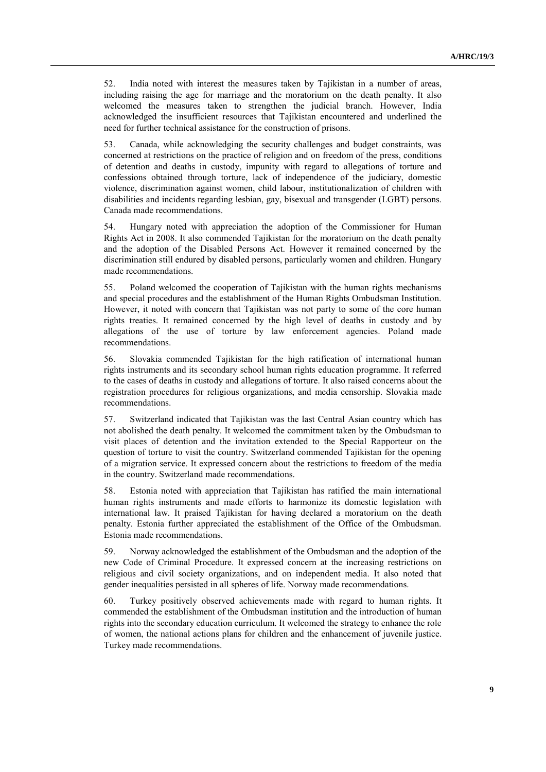52. India noted with interest the measures taken by Tajikistan in a number of areas, including raising the age for marriage and the moratorium on the death penalty. It also welcomed the measures taken to strengthen the judicial branch. However, India acknowledged the insufficient resources that Tajikistan encountered and underlined the need for further technical assistance for the construction of prisons.

53. Canada, while acknowledging the security challenges and budget constraints, was concerned at restrictions on the practice of religion and on freedom of the press, conditions of detention and deaths in custody, impunity with regard to allegations of torture and confessions obtained through torture, lack of independence of the judiciary, domestic violence, discrimination against women, child labour, institutionalization of children with disabilities and incidents regarding lesbian, gay, bisexual and transgender (LGBT) persons. Canada made recommendations.

54. Hungary noted with appreciation the adoption of the Commissioner for Human Rights Act in 2008. It also commended Tajikistan for the moratorium on the death penalty and the adoption of the Disabled Persons Act. However it remained concerned by the discrimination still endured by disabled persons, particularly women and children. Hungary made recommendations.

55. Poland welcomed the cooperation of Tajikistan with the human rights mechanisms and special procedures and the establishment of the Human Rights Ombudsman Institution. However, it noted with concern that Tajikistan was not party to some of the core human rights treaties. It remained concerned by the high level of deaths in custody and by allegations of the use of torture by law enforcement agencies. Poland made recommendations.

56. Slovakia commended Tajikistan for the high ratification of international human rights instruments and its secondary school human rights education programme. It referred to the cases of deaths in custody and allegations of torture. It also raised concerns about the registration procedures for religious organizations, and media censorship. Slovakia made recommendations.

57. Switzerland indicated that Tajikistan was the last Central Asian country which has not abolished the death penalty. It welcomed the commitment taken by the Ombudsman to visit places of detention and the invitation extended to the Special Rapporteur on the question of torture to visit the country. Switzerland commended Tajikistan for the opening of a migration service. It expressed concern about the restrictions to freedom of the media in the country. Switzerland made recommendations.

58. Estonia noted with appreciation that Tajikistan has ratified the main international human rights instruments and made efforts to harmonize its domestic legislation with international law. It praised Tajikistan for having declared a moratorium on the death penalty. Estonia further appreciated the establishment of the Office of the Ombudsman. Estonia made recommendations.

59. Norway acknowledged the establishment of the Ombudsman and the adoption of the new Code of Criminal Procedure. It expressed concern at the increasing restrictions on religious and civil society organizations, and on independent media. It also noted that gender inequalities persisted in all spheres of life. Norway made recommendations.

60. Turkey positively observed achievements made with regard to human rights. It commended the establishment of the Ombudsman institution and the introduction of human rights into the secondary education curriculum. It welcomed the strategy to enhance the role of women, the national actions plans for children and the enhancement of juvenile justice. Turkey made recommendations.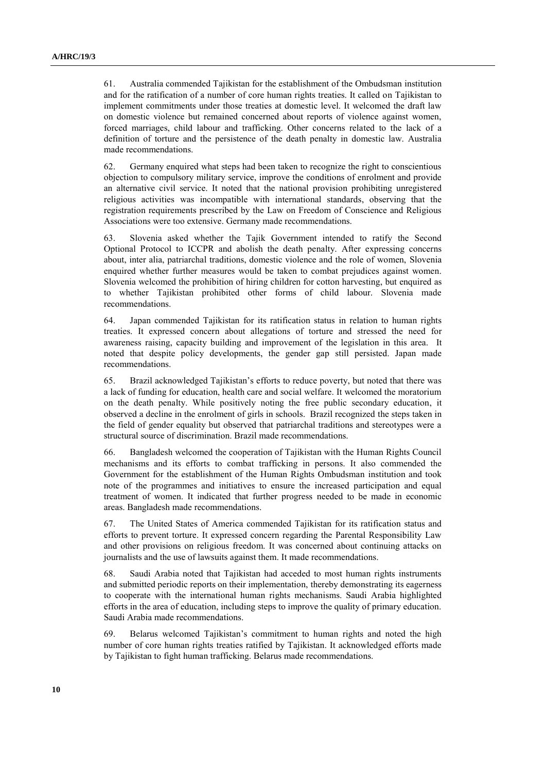61. Australia commended Tajikistan for the establishment of the Ombudsman institution and for the ratification of a number of core human rights treaties. It called on Tajikistan to implement commitments under those treaties at domestic level. It welcomed the draft law on domestic violence but remained concerned about reports of violence against women, forced marriages, child labour and trafficking. Other concerns related to the lack of a definition of torture and the persistence of the death penalty in domestic law. Australia made recommendations.

62. Germany enquired what steps had been taken to recognize the right to conscientious objection to compulsory military service, improve the conditions of enrolment and provide an alternative civil service. It noted that the national provision prohibiting unregistered religious activities was incompatible with international standards, observing that the registration requirements prescribed by the Law on Freedom of Conscience and Religious Associations were too extensive. Germany made recommendations.

63. Slovenia asked whether the Tajik Government intended to ratify the Second Optional Protocol to ICCPR and abolish the death penalty. After expressing concerns about, inter alia, patriarchal traditions, domestic violence and the role of women, Slovenia enquired whether further measures would be taken to combat prejudices against women. Slovenia welcomed the prohibition of hiring children for cotton harvesting, but enquired as to whether Tajikistan prohibited other forms of child labour. Slovenia made recommendations.

64. Japan commended Tajikistan for its ratification status in relation to human rights treaties. It expressed concern about allegations of torture and stressed the need for awareness raising, capacity building and improvement of the legislation in this area. It noted that despite policy developments, the gender gap still persisted. Japan made recommendations.

65. Brazil acknowledged Tajikistan's efforts to reduce poverty, but noted that there was a lack of funding for education, health care and social welfare. It welcomed the moratorium on the death penalty. While positively noting the free public secondary education, it observed a decline in the enrolment of girls in schools. Brazil recognized the steps taken in the field of gender equality but observed that patriarchal traditions and stereotypes were a structural source of discrimination. Brazil made recommendations.

66. Bangladesh welcomed the cooperation of Tajikistan with the Human Rights Council mechanisms and its efforts to combat trafficking in persons. It also commended the Government for the establishment of the Human Rights Ombudsman institution and took note of the programmes and initiatives to ensure the increased participation and equal treatment of women. It indicated that further progress needed to be made in economic areas. Bangladesh made recommendations.

67. The United States of America commended Tajikistan for its ratification status and efforts to prevent torture. It expressed concern regarding the Parental Responsibility Law and other provisions on religious freedom. It was concerned about continuing attacks on journalists and the use of lawsuits against them. It made recommendations.

68. Saudi Arabia noted that Tajikistan had acceded to most human rights instruments and submitted periodic reports on their implementation, thereby demonstrating its eagerness to cooperate with the international human rights mechanisms. Saudi Arabia highlighted efforts in the area of education, including steps to improve the quality of primary education. Saudi Arabia made recommendations.

69. Belarus welcomed Tajikistan's commitment to human rights and noted the high number of core human rights treaties ratified by Tajikistan. It acknowledged efforts made by Tajikistan to fight human trafficking. Belarus made recommendations.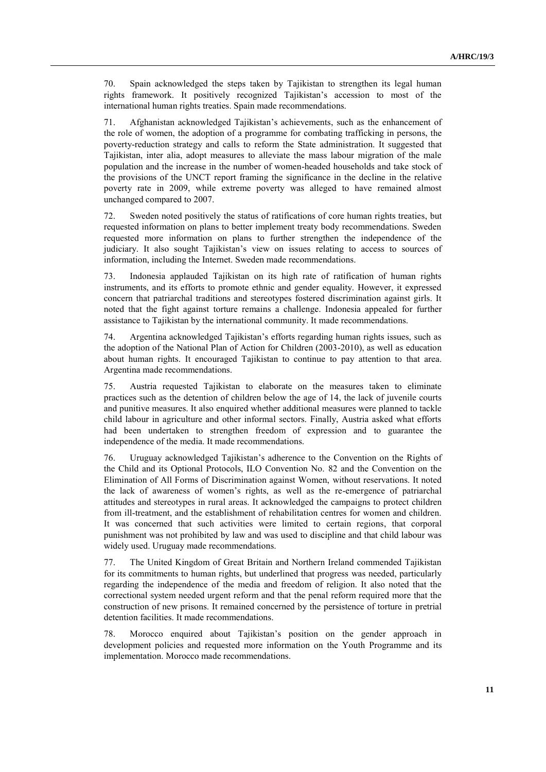70. Spain acknowledged the steps taken by Tajikistan to strengthen its legal human rights framework. It positively recognized Tajikistan's accession to most of the international human rights treaties. Spain made recommendations.

71. Afghanistan acknowledged Tajikistan's achievements, such as the enhancement of the role of women, the adoption of a programme for combating trafficking in persons, the poverty-reduction strategy and calls to reform the State administration. It suggested that Tajikistan, inter alia, adopt measures to alleviate the mass labour migration of the male population and the increase in the number of women-headed households and take stock of the provisions of the UNCT report framing the significance in the decline in the relative poverty rate in 2009, while extreme poverty was alleged to have remained almost unchanged compared to 2007.

72. Sweden noted positively the status of ratifications of core human rights treaties, but requested information on plans to better implement treaty body recommendations. Sweden requested more information on plans to further strengthen the independence of the judiciary. It also sought Tajikistan's view on issues relating to access to sources of information, including the Internet. Sweden made recommendations.

73. Indonesia applauded Tajikistan on its high rate of ratification of human rights instruments, and its efforts to promote ethnic and gender equality. However, it expressed concern that patriarchal traditions and stereotypes fostered discrimination against girls. It noted that the fight against torture remains a challenge. Indonesia appealed for further assistance to Tajikistan by the international community. It made recommendations.

74. Argentina acknowledged Tajikistan's efforts regarding human rights issues, such as the adoption of the National Plan of Action for Children (2003-2010), as well as education about human rights. It encouraged Tajikistan to continue to pay attention to that area. Argentina made recommendations.

75. Austria requested Tajikistan to elaborate on the measures taken to eliminate practices such as the detention of children below the age of 14, the lack of juvenile courts and punitive measures. It also enquired whether additional measures were planned to tackle child labour in agriculture and other informal sectors. Finally, Austria asked what efforts had been undertaken to strengthen freedom of expression and to guarantee the independence of the media. It made recommendations.

76. Uruguay acknowledged Tajikistan's adherence to the Convention on the Rights of the Child and its Optional Protocols, ILO Convention No. 82 and the Convention on the Elimination of All Forms of Discrimination against Women, without reservations. It noted the lack of awareness of women's rights, as well as the re-emergence of patriarchal attitudes and stereotypes in rural areas. It acknowledged the campaigns to protect children from ill-treatment, and the establishment of rehabilitation centres for women and children. It was concerned that such activities were limited to certain regions, that corporal punishment was not prohibited by law and was used to discipline and that child labour was widely used. Uruguay made recommendations.

77. The United Kingdom of Great Britain and Northern Ireland commended Tajikistan for its commitments to human rights, but underlined that progress was needed, particularly regarding the independence of the media and freedom of religion. It also noted that the correctional system needed urgent reform and that the penal reform required more that the construction of new prisons. It remained concerned by the persistence of torture in pretrial detention facilities. It made recommendations.

78. Morocco enquired about Tajikistan's position on the gender approach in development policies and requested more information on the Youth Programme and its implementation. Morocco made recommendations.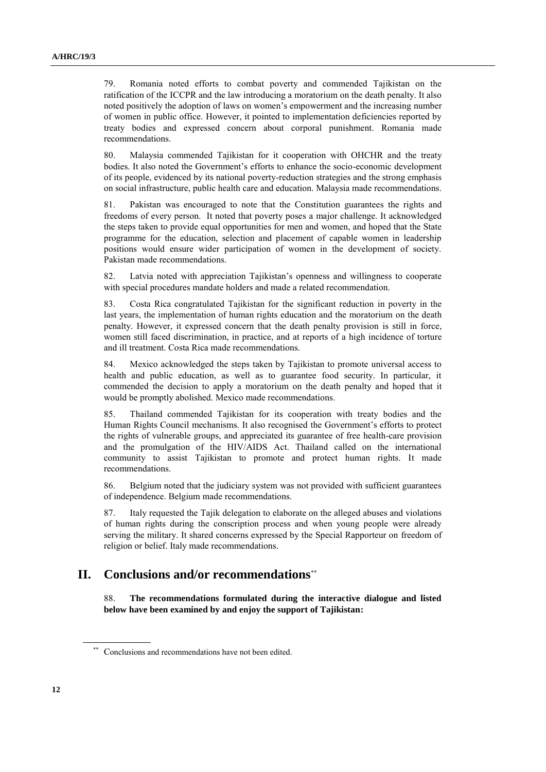79. Romania noted efforts to combat poverty and commended Tajikistan on the ratification of the ICCPR and the law introducing a moratorium on the death penalty. It also noted positively the adoption of laws on women's empowerment and the increasing number of women in public office. However, it pointed to implementation deficiencies reported by treaty bodies and expressed concern about corporal punishment. Romania made recommendations.

80. Malaysia commended Tajikistan for it cooperation with OHCHR and the treaty bodies. It also noted the Government's efforts to enhance the socio-economic development of its people, evidenced by its national poverty-reduction strategies and the strong emphasis on social infrastructure, public health care and education. Malaysia made recommendations.

81. Pakistan was encouraged to note that the Constitution guarantees the rights and freedoms of every person. It noted that poverty poses a major challenge. It acknowledged the steps taken to provide equal opportunities for men and women, and hoped that the State programme for the education, selection and placement of capable women in leadership positions would ensure wider participation of women in the development of society. Pakistan made recommendations.

82. Latvia noted with appreciation Tajikistan's openness and willingness to cooperate with special procedures mandate holders and made a related recommendation.

83. Costa Rica congratulated Tajikistan for the significant reduction in poverty in the last years, the implementation of human rights education and the moratorium on the death penalty. However, it expressed concern that the death penalty provision is still in force, women still faced discrimination, in practice, and at reports of a high incidence of torture and ill treatment. Costa Rica made recommendations.

84. Mexico acknowledged the steps taken by Tajikistan to promote universal access to health and public education, as well as to guarantee food security. In particular, it commended the decision to apply a moratorium on the death penalty and hoped that it would be promptly abolished. Mexico made recommendations.

85. Thailand commended Tajikistan for its cooperation with treaty bodies and the Human Rights Council mechanisms. It also recognised the Government's efforts to protect the rights of vulnerable groups, and appreciated its guarantee of free health-care provision and the promulgation of the HIV/AIDS Act. Thailand called on the international community to assist Tajikistan to promote and protect human rights. It made recommendations.

86. Belgium noted that the judiciary system was not provided with sufficient guarantees of independence. Belgium made recommendations.

87. Italy requested the Tajik delegation to elaborate on the alleged abuses and violations of human rights during the conscription process and when young people were already serving the military. It shared concerns expressed by the Special Rapporteur on freedom of religion or belief. Italy made recommendations.

# **II. Conclusions and/or recommendations**\*\*

88. **The recommendations formulated during the interactive dialogue and listed below have been examined by and enjoy the support of Tajikistan:**

<sup>\*\*</sup> Conclusions and recommendations have not been edited.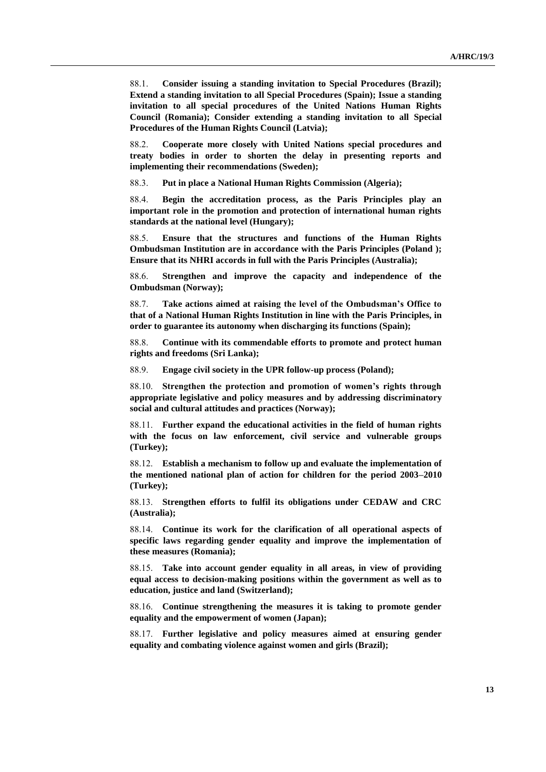88.1. **Consider issuing a standing invitation to Special Procedures (Brazil); Extend a standing invitation to all Special Procedures (Spain); Issue a standing invitation to all special procedures of the United Nations Human Rights Council (Romania); Consider extending a standing invitation to all Special Procedures of the Human Rights Council (Latvia);**

88.2. **Cooperate more closely with United Nations special procedures and treaty bodies in order to shorten the delay in presenting reports and implementing their recommendations (Sweden);**

88.3. **Put in place a National Human Rights Commission (Algeria);**

88.4. **Begin the accreditation process, as the Paris Principles play an important role in the promotion and protection of international human rights standards at the national level (Hungary);**

88.5. **Ensure that the structures and functions of the Human Rights Ombudsman Institution are in accordance with the Paris Principles (Poland ); Ensure that its NHRI accords in full with the Paris Principles (Australia);**

88.6. **Strengthen and improve the capacity and independence of the Ombudsman (Norway);**

88.7. **Take actions aimed at raising the level of the Ombudsman's Office to that of a National Human Rights Institution in line with the Paris Principles, in order to guarantee its autonomy when discharging its functions (Spain);**

88.8. **Continue with its commendable efforts to promote and protect human rights and freedoms (Sri Lanka);**

88.9. **Engage civil society in the UPR follow-up process (Poland);**

88.10. **Strengthen the protection and promotion of women's rights through appropriate legislative and policy measures and by addressing discriminatory social and cultural attitudes and practices (Norway);**

88.11. **Further expand the educational activities in the field of human rights with the focus on law enforcement, civil service and vulnerable groups (Turkey);**

88.12. **Establish a mechanism to follow up and evaluate the implementation of the mentioned national plan of action for children for the period 2003–2010 (Turkey);**

88.13. **Strengthen efforts to fulfil its obligations under CEDAW and CRC (Australia);**

88.14. **Continue its work for the clarification of all operational aspects of specific laws regarding gender equality and improve the implementation of these measures (Romania);**

88.15. **Take into account gender equality in all areas, in view of providing equal access to decision-making positions within the government as well as to education, justice and land (Switzerland);**

88.16. **Continue strengthening the measures it is taking to promote gender equality and the empowerment of women (Japan);**

88.17. **Further legislative and policy measures aimed at ensuring gender equality and combating violence against women and girls (Brazil);**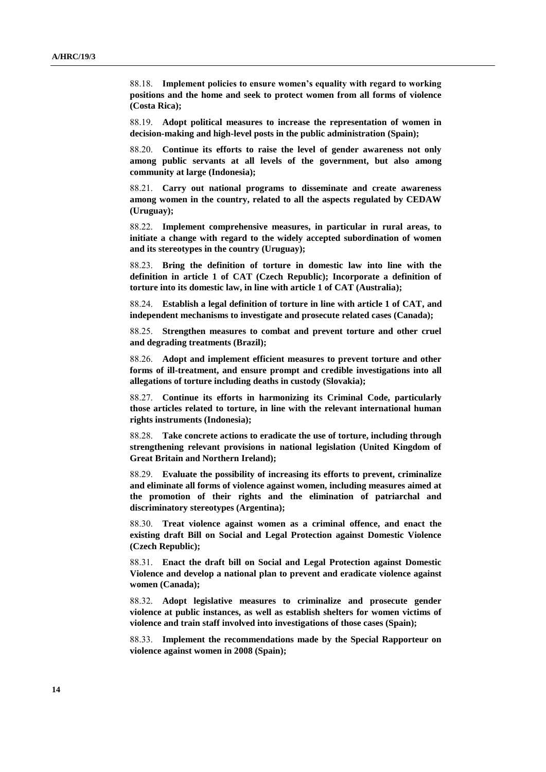88.18. **Implement policies to ensure women's equality with regard to working positions and the home and seek to protect women from all forms of violence (Costa Rica);**

88.19. **Adopt political measures to increase the representation of women in decision-making and high-level posts in the public administration (Spain);**

88.20. **Continue its efforts to raise the level of gender awareness not only among public servants at all levels of the government, but also among community at large (Indonesia);**

88.21. **Carry out national programs to disseminate and create awareness among women in the country, related to all the aspects regulated by CEDAW (Uruguay);**

88.22. **Implement comprehensive measures, in particular in rural areas, to initiate a change with regard to the widely accepted subordination of women and its stereotypes in the country (Uruguay);**

88.23. **Bring the definition of torture in domestic law into line with the definition in article 1 of CAT (Czech Republic); Incorporate a definition of torture into its domestic law, in line with article 1 of CAT (Australia);**

88.24. **Establish a legal definition of torture in line with article 1 of CAT, and independent mechanisms to investigate and prosecute related cases (Canada);**

88.25. **Strengthen measures to combat and prevent torture and other cruel and degrading treatments (Brazil);**

88.26. **Adopt and implement efficient measures to prevent torture and other forms of ill-treatment, and ensure prompt and credible investigations into all allegations of torture including deaths in custody (Slovakia);**

88.27. **Continue its efforts in harmonizing its Criminal Code, particularly those articles related to torture, in line with the relevant international human rights instruments (Indonesia);**

88.28. **Take concrete actions to eradicate the use of torture, including through strengthening relevant provisions in national legislation (United Kingdom of Great Britain and Northern Ireland);**

88.29. **Evaluate the possibility of increasing its efforts to prevent, criminalize and eliminate all forms of violence against women, including measures aimed at the promotion of their rights and the elimination of patriarchal and discriminatory stereotypes (Argentina);**

88.30. **Treat violence against women as a criminal offence, and enact the existing draft Bill on Social and Legal Protection against Domestic Violence (Czech Republic);**

88.31. **Enact the draft bill on Social and Legal Protection against Domestic Violence and develop a national plan to prevent and eradicate violence against women (Canada);**

88.32. **Adopt legislative measures to criminalize and prosecute gender violence at public instances, as well as establish shelters for women victims of violence and train staff involved into investigations of those cases (Spain);**

88.33. **Implement the recommendations made by the Special Rapporteur on violence against women in 2008 (Spain);**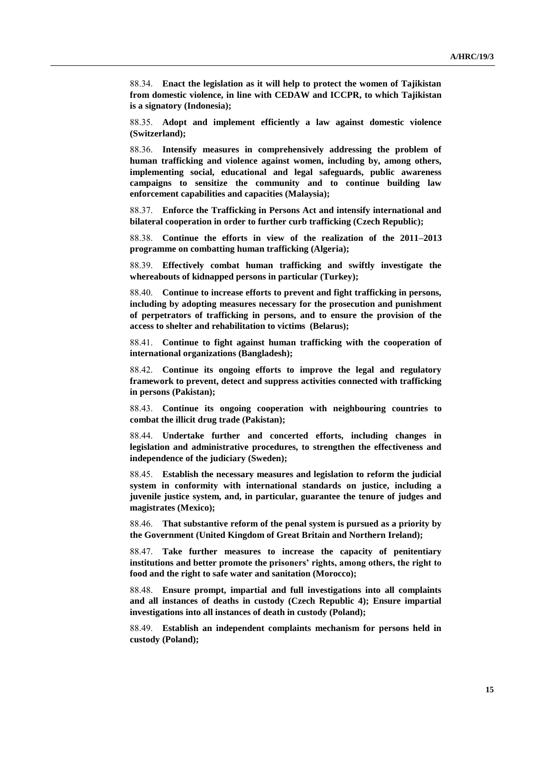88.34. **Enact the legislation as it will help to protect the women of Tajikistan from domestic violence, in line with CEDAW and ICCPR, to which Tajikistan is a signatory (Indonesia);**

88.35. **Adopt and implement efficiently a law against domestic violence (Switzerland);**

88.36. **Intensify measures in comprehensively addressing the problem of human trafficking and violence against women, including by, among others, implementing social, educational and legal safeguards, public awareness campaigns to sensitize the community and to continue building law enforcement capabilities and capacities (Malaysia);**

88.37. **Enforce the Trafficking in Persons Act and intensify international and bilateral cooperation in order to further curb trafficking (Czech Republic);**

88.38. **Continue the efforts in view of the realization of the 2011–2013 programme on combatting human trafficking (Algeria);**

88.39. **Effectively combat human trafficking and swiftly investigate the whereabouts of kidnapped persons in particular (Turkey);**

88.40. **Continue to increase efforts to prevent and fight trafficking in persons, including by adopting measures necessary for the prosecution and punishment of perpetrators of trafficking in persons, and to ensure the provision of the access to shelter and rehabilitation to victims (Belarus);**

88.41. **Continue to fight against human trafficking with the cooperation of international organizations (Bangladesh);**

88.42. **Continue its ongoing efforts to improve the legal and regulatory framework to prevent, detect and suppress activities connected with trafficking in persons (Pakistan);**

88.43. **Continue its ongoing cooperation with neighbouring countries to combat the illicit drug trade (Pakistan);**

88.44. **Undertake further and concerted efforts, including changes in legislation and administrative procedures, to strengthen the effectiveness and independence of the judiciary (Sweden);**

88.45. **Establish the necessary measures and legislation to reform the judicial system in conformity with international standards on justice, including a juvenile justice system, and, in particular, guarantee the tenure of judges and magistrates (Mexico);**

88.46. **That substantive reform of the penal system is pursued as a priority by the Government (United Kingdom of Great Britain and Northern Ireland);**

88.47. **Take further measures to increase the capacity of penitentiary institutions and better promote the prisoners' rights, among others, the right to food and the right to safe water and sanitation (Morocco);**

88.48. **Ensure prompt, impartial and full investigations into all complaints and all instances of deaths in custody (Czech Republic 4); Ensure impartial investigations into all instances of death in custody (Poland);**

88.49. **Establish an independent complaints mechanism for persons held in custody (Poland);**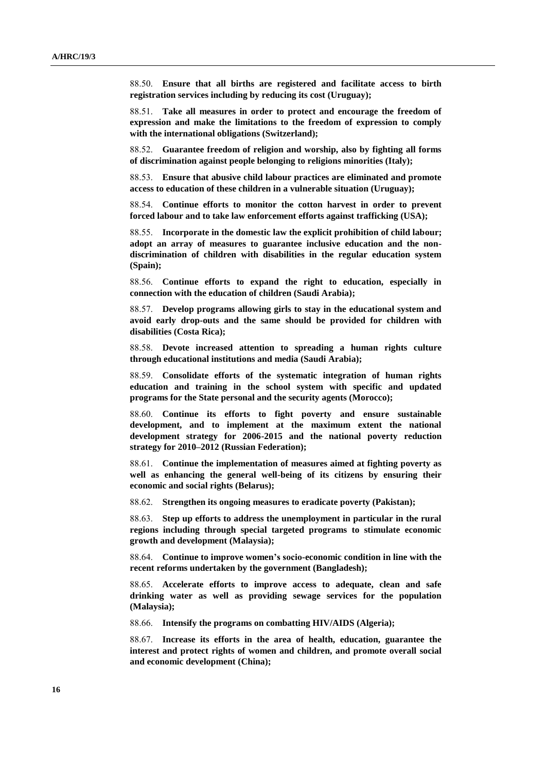88.50. **Ensure that all births are registered and facilitate access to birth registration services including by reducing its cost (Uruguay);**

88.51. **Take all measures in order to protect and encourage the freedom of expression and make the limitations to the freedom of expression to comply with the international obligations (Switzerland);**

88.52. **Guarantee freedom of religion and worship, also by fighting all forms of discrimination against people belonging to religions minorities (Italy);**

88.53. **Ensure that abusive child labour practices are eliminated and promote access to education of these children in a vulnerable situation (Uruguay);**

88.54. **Continue efforts to monitor the cotton harvest in order to prevent forced labour and to take law enforcement efforts against trafficking (USA);**

88.55. **Incorporate in the domestic law the explicit prohibition of child labour; adopt an array of measures to guarantee inclusive education and the nondiscrimination of children with disabilities in the regular education system (Spain);**

88.56. **Continue efforts to expand the right to education, especially in connection with the education of children (Saudi Arabia);**

88.57. **Develop programs allowing girls to stay in the educational system and avoid early drop-outs and the same should be provided for children with disabilities (Costa Rica);**

88.58. **Devote increased attention to spreading a human rights culture through educational institutions and media (Saudi Arabia);**

88.59. **Consolidate efforts of the systematic integration of human rights education and training in the school system with specific and updated programs for the State personal and the security agents (Morocco);**

88.60. **Continue its efforts to fight poverty and ensure sustainable development, and to implement at the maximum extent the national development strategy for 2006-2015 and the national poverty reduction strategy for 2010–2012 (Russian Federation);**

88.61. **Continue the implementation of measures aimed at fighting poverty as well as enhancing the general well-being of its citizens by ensuring their economic and social rights (Belarus);**

88.62. **Strengthen its ongoing measures to eradicate poverty (Pakistan);**

88.63. **Step up efforts to address the unemployment in particular in the rural regions including through special targeted programs to stimulate economic growth and development (Malaysia);**

88.64. **Continue to improve women's socio-economic condition in line with the recent reforms undertaken by the government (Bangladesh);**

88.65. **Accelerate efforts to improve access to adequate, clean and safe drinking water as well as providing sewage services for the population (Malaysia);**

88.66. **Intensify the programs on combatting HIV/AIDS (Algeria);**

88.67. **Increase its efforts in the area of health, education, guarantee the interest and protect rights of women and children, and promote overall social and economic development (China);**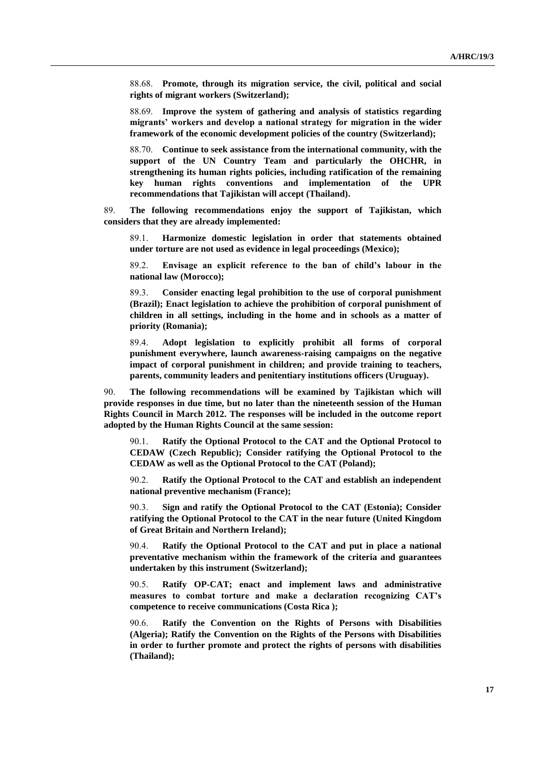88.68. **Promote, through its migration service, the civil, political and social rights of migrant workers (Switzerland);**

88.69. **Improve the system of gathering and analysis of statistics regarding migrants' workers and develop a national strategy for migration in the wider framework of the economic development policies of the country (Switzerland);**

88.70. **Continue to seek assistance from the international community, with the support of the UN Country Team and particularly the OHCHR, in strengthening its human rights policies, including ratification of the remaining key human rights conventions and implementation of the UPR recommendations that Tajikistan will accept (Thailand).**

89. **The following recommendations enjoy the support of Tajikistan, which considers that they are already implemented:**

89.1. **Harmonize domestic legislation in order that statements obtained under torture are not used as evidence in legal proceedings (Mexico);**

89.2. **Envisage an explicit reference to the ban of child's labour in the national law (Morocco);**

89.3. **Consider enacting legal prohibition to the use of corporal punishment (Brazil); Enact legislation to achieve the prohibition of corporal punishment of children in all settings, including in the home and in schools as a matter of priority (Romania);**

89.4. **Adopt legislation to explicitly prohibit all forms of corporal punishment everywhere, launch awareness-raising campaigns on the negative impact of corporal punishment in children; and provide training to teachers, parents, community leaders and penitentiary institutions officers (Uruguay).**

90. **The following recommendations will be examined by Tajikistan which will provide responses in due time, but no later than the nineteenth session of the Human Rights Council in March 2012. The responses will be included in the outcome report adopted by the Human Rights Council at the same session:**

90.1. **Ratify the Optional Protocol to the CAT and the Optional Protocol to CEDAW (Czech Republic); Consider ratifying the Optional Protocol to the CEDAW as well as the Optional Protocol to the CAT (Poland);**

90.2. **Ratify the Optional Protocol to the CAT and establish an independent national preventive mechanism (France);**

90.3. **Sign and ratify the Optional Protocol to the CAT (Estonia); Consider ratifying the Optional Protocol to the CAT in the near future (United Kingdom of Great Britain and Northern Ireland);**

90.4. **Ratify the Optional Protocol to the CAT and put in place a national preventative mechanism within the framework of the criteria and guarantees undertaken by this instrument (Switzerland);**

90.5. **Ratify OP-CAT; enact and implement laws and administrative measures to combat torture and make a declaration recognizing CAT's competence to receive communications (Costa Rica );**

90.6. **Ratify the Convention on the Rights of Persons with Disabilities (Algeria); Ratify the Convention on the Rights of the Persons with Disabilities in order to further promote and protect the rights of persons with disabilities (Thailand);**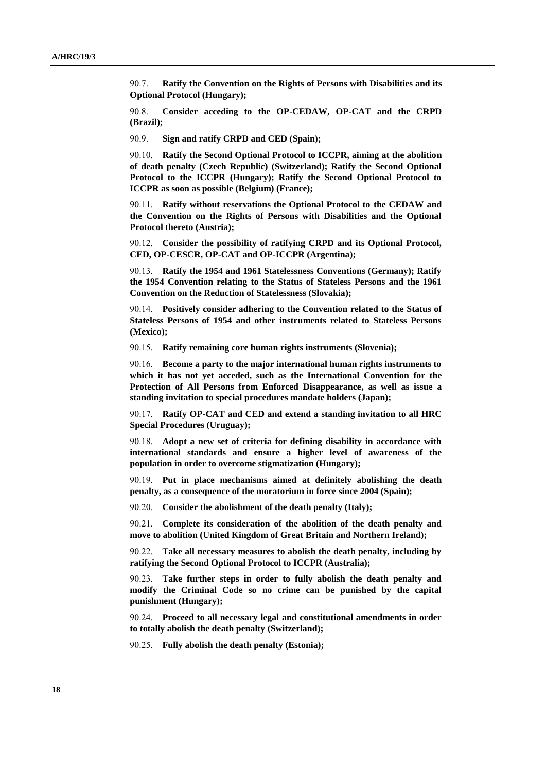90.7. **Ratify the Convention on the Rights of Persons with Disabilities and its Optional Protocol (Hungary);**

90.8. **Consider acceding to the OP-CEDAW, OP-CAT and the CRPD (Brazil);**

90.9. **Sign and ratify CRPD and CED (Spain);**

90.10. **Ratify the Second Optional Protocol to ICCPR, aiming at the abolition of death penalty (Czech Republic) (Switzerland); Ratify the Second Optional Protocol to the ICCPR (Hungary); Ratify the Second Optional Protocol to ICCPR as soon as possible (Belgium) (France);**

90.11. **Ratify without reservations the Optional Protocol to the CEDAW and the Convention on the Rights of Persons with Disabilities and the Optional Protocol thereto (Austria);**

90.12. **Consider the possibility of ratifying CRPD and its Optional Protocol, CED, OP-CESCR, OP-CAT and OP-ICCPR (Argentina);**

90.13. **Ratify the 1954 and 1961 Statelessness Conventions (Germany); Ratify the 1954 Convention relating to the Status of Stateless Persons and the 1961 Convention on the Reduction of Statelessness (Slovakia);**

90.14. **Positively consider adhering to the Convention related to the Status of Stateless Persons of 1954 and other instruments related to Stateless Persons (Mexico);**

90.15. **Ratify remaining core human rights instruments (Slovenia);**

90.16. **Become a party to the major international human rights instruments to which it has not yet acceded, such as the International Convention for the Protection of All Persons from Enforced Disappearance, as well as issue a standing invitation to special procedures mandate holders (Japan);**

90.17. **Ratify OP-CAT and CED and extend a standing invitation to all HRC Special Procedures (Uruguay);**

90.18. **Adopt a new set of criteria for defining disability in accordance with international standards and ensure a higher level of awareness of the population in order to overcome stigmatization (Hungary);**

90.19. **Put in place mechanisms aimed at definitely abolishing the death penalty, as a consequence of the moratorium in force since 2004 (Spain);**

90.20. **Consider the abolishment of the death penalty (Italy);**

90.21. **Complete its consideration of the abolition of the death penalty and move to abolition (United Kingdom of Great Britain and Northern Ireland);**

90.22. **Take all necessary measures to abolish the death penalty, including by ratifying the Second Optional Protocol to ICCPR (Australia);**

90.23. **Take further steps in order to fully abolish the death penalty and modify the Criminal Code so no crime can be punished by the capital punishment (Hungary);**

90.24. **Proceed to all necessary legal and constitutional amendments in order to totally abolish the death penalty (Switzerland);**

90.25. **Fully abolish the death penalty (Estonia);**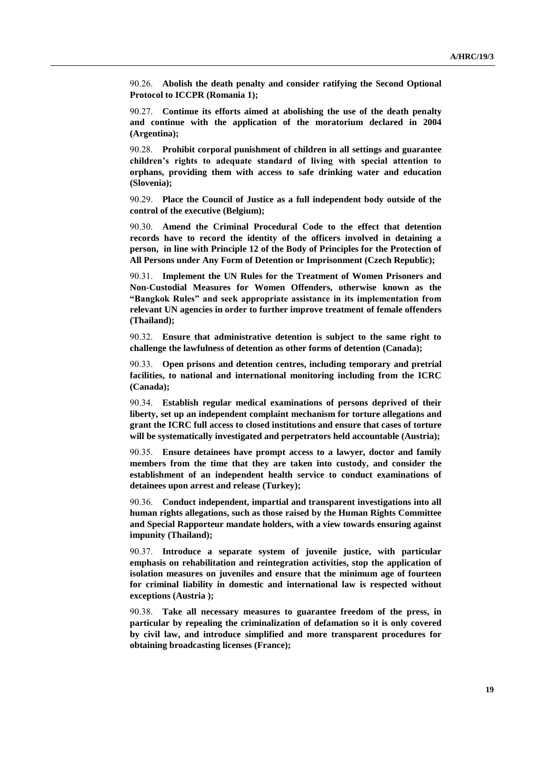90.26. **Abolish the death penalty and consider ratifying the Second Optional Protocol to ICCPR (Romania 1);**

90.27. **Continue its efforts aimed at abolishing the use of the death penalty and continue with the application of the moratorium declared in 2004 (Argentina);**

90.28. **Prohibit corporal punishment of children in all settings and guarantee children's rights to adequate standard of living with special attention to orphans, providing them with access to safe drinking water and education (Slovenia);**

90.29. **Place the Council of Justice as a full independent body outside of the control of the executive (Belgium);**

90.30. **Amend the Criminal Procedural Code to the effect that detention records have to record the identity of the officers involved in detaining a person, in line with Principle 12 of the Body of Principles for the Protection of All Persons under Any Form of Detention or Imprisonment (Czech Republic);**

90.31. **Implement the UN Rules for the Treatment of Women Prisoners and Non-Custodial Measures for Women Offenders, otherwise known as the "Bangkok Rules" and seek appropriate assistance in its implementation from relevant UN agencies in order to further improve treatment of female offenders (Thailand);**

90.32. **Ensure that administrative detention is subject to the same right to challenge the lawfulness of detention as other forms of detention (Canada);**

90.33. **Open prisons and detention centres, including temporary and pretrial facilities, to national and international monitoring including from the ICRC (Canada);**

90.34. **Establish regular medical examinations of persons deprived of their liberty, set up an independent complaint mechanism for torture allegations and grant the ICRC full access to closed institutions and ensure that cases of torture will be systematically investigated and perpetrators held accountable (Austria);**

90.35. **Ensure detainees have prompt access to a lawyer, doctor and family members from the time that they are taken into custody, and consider the establishment of an independent health service to conduct examinations of detainees upon arrest and release (Turkey);**

90.36. **Conduct independent, impartial and transparent investigations into all human rights allegations, such as those raised by the Human Rights Committee and Special Rapporteur mandate holders, with a view towards ensuring against impunity (Thailand);**

90.37. **Introduce a separate system of juvenile justice, with particular emphasis on rehabilitation and reintegration activities, stop the application of isolation measures on juveniles and ensure that the minimum age of fourteen for criminal liability in domestic and international law is respected without exceptions (Austria );**

90.38. **Take all necessary measures to guarantee freedom of the press, in particular by repealing the criminalization of defamation so it is only covered by civil law, and introduce simplified and more transparent procedures for obtaining broadcasting licenses (France);**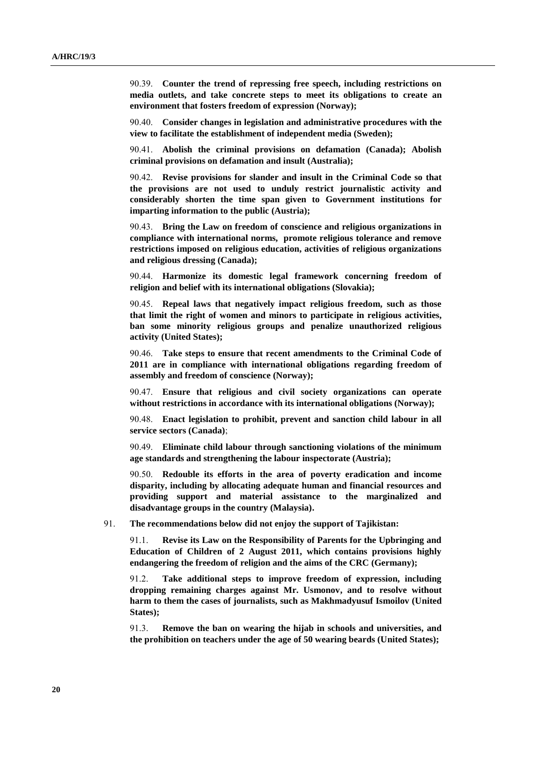90.39. **Counter the trend of repressing free speech, including restrictions on media outlets, and take concrete steps to meet its obligations to create an environment that fosters freedom of expression (Norway);**

90.40. **Consider changes in legislation and administrative procedures with the view to facilitate the establishment of independent media (Sweden);**

90.41. **Abolish the criminal provisions on defamation (Canada); Abolish criminal provisions on defamation and insult (Australia);**

90.42. **Revise provisions for slander and insult in the Criminal Code so that the provisions are not used to unduly restrict journalistic activity and considerably shorten the time span given to Government institutions for imparting information to the public (Austria);**

90.43. **Bring the Law on freedom of conscience and religious organizations in compliance with international norms, promote religious tolerance and remove restrictions imposed on religious education, activities of religious organizations and religious dressing (Canada);**

90.44. **Harmonize its domestic legal framework concerning freedom of religion and belief with its international obligations (Slovakia);**

90.45. **Repeal laws that negatively impact religious freedom, such as those that limit the right of women and minors to participate in religious activities, ban some minority religious groups and penalize unauthorized religious activity (United States);**

90.46. **Take steps to ensure that recent amendments to the Criminal Code of 2011 are in compliance with international obligations regarding freedom of assembly and freedom of conscience (Norway);**

90.47. **Ensure that religious and civil society organizations can operate without restrictions in accordance with its international obligations (Norway);**

90.48. **Enact legislation to prohibit, prevent and sanction child labour in all service sectors (Canada)**;

90.49. **Eliminate child labour through sanctioning violations of the minimum age standards and strengthening the labour inspectorate (Austria);**

90.50. **Redouble its efforts in the area of poverty eradication and income disparity, including by allocating adequate human and financial resources and providing support and material assistance to the marginalized and disadvantage groups in the country (Malaysia).**

91. **The recommendations below did not enjoy the support of Tajikistan:**

91.1. **Revise its Law on the Responsibility of Parents for the Upbringing and Education of Children of 2 August 2011, which contains provisions highly endangering the freedom of religion and the aims of the CRC (Germany);**

91.2. **Take additional steps to improve freedom of expression, including dropping remaining charges against Mr. Usmonov, and to resolve without harm to them the cases of journalists, such as Makhmadyusuf Ismoilov (United States);**

91.3. **Remove the ban on wearing the hijab in schools and universities, and the prohibition on teachers under the age of 50 wearing beards (United States);**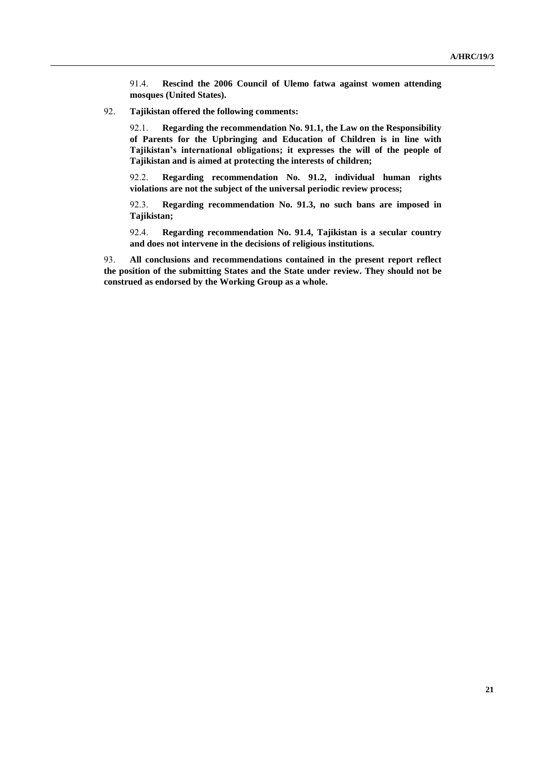91.4. **Rescind the 2006 Council of Ulemo fatwa against women attending mosques (United States).**

92. **Tajikistan offered the following comments:**

92.1. **Regarding the recommendation No. 91.1, the Law on the Responsibility of Parents for the Upbringing and Education of Children is in line with Tajikistan's international obligations; it expresses the will of the people of Tajikistan and is aimed at protecting the interests of children;**

92.2. **Regarding recommendation No. 91.2, individual human rights violations are not the subject of the universal periodic review process;**

92.3. **Regarding recommendation No. 91.3, no such bans are imposed in Tajikistan;**

92.4. **Regarding recommendation No. 91.4, Tajikistan is a secular country and does not intervene in the decisions of religious institutions.**

93. **All conclusions and recommendations contained in the present report reflect the position of the submitting States and the State under review. They should not be construed as endorsed by the Working Group as a whole.**